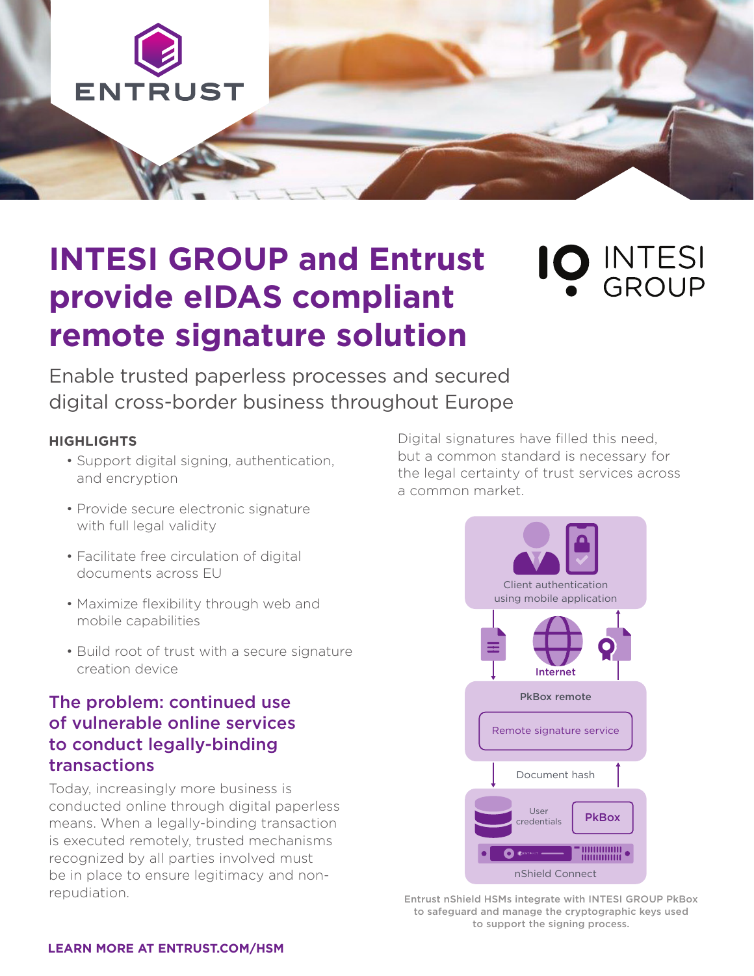

# **INTESI GROUP and Entrust provide eIDAS compliant remote signature solution**

O INTESI

Enable trusted paperless processes and secured digital cross-border business throughout Europe

#### **HIGHLIGHTS**

- Support digital signing, authentication, and encryption
- Provide secure electronic signature with full legal validity
- Facilitate free circulation of digital documents across EU
- Maximize flexibility through web and mobile capabilities
- Build root of trust with a secure signature creation device

## The problem: continued use of vulnerable online services to conduct legally-binding transactions

Today, increasingly more business is conducted online through digital paperless means. When a legally-binding transaction is executed remotely, trusted mechanisms recognized by all parties involved must be in place to ensure legitimacy and nonrepudiation.

Digital signatures have filled this need, but a common standard is necessary for the legal certainty of trust services across a common market.



Entrust nShield HSMs integrate with INTESI GROUP PkBox to safeguard and manage the cryptographic keys used to support the signing process.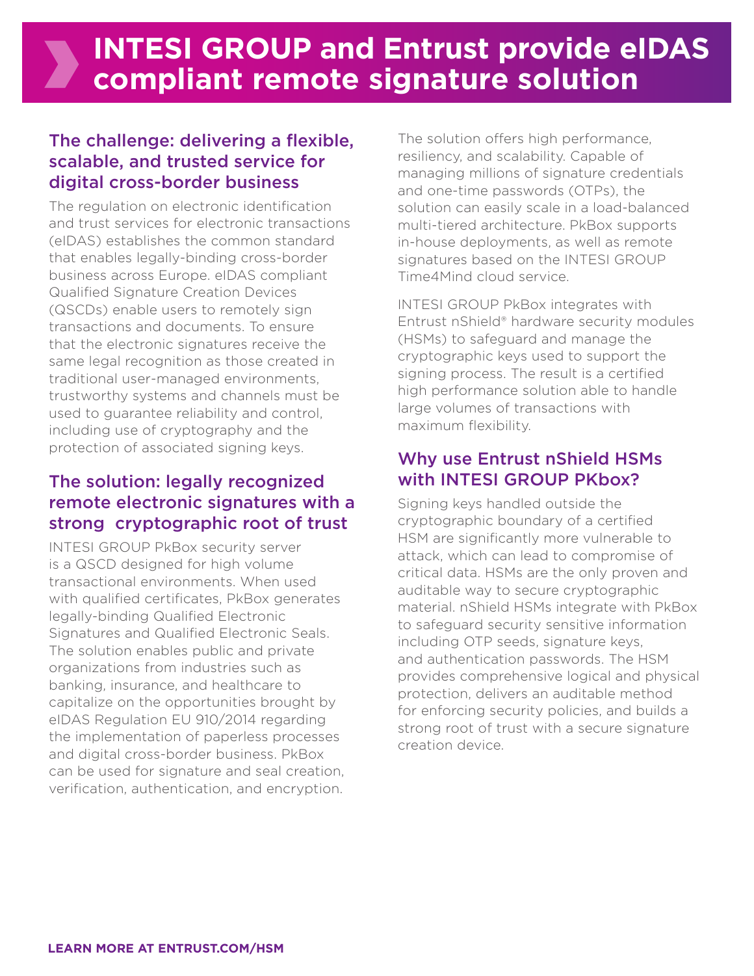### The challenge: delivering a flexible, scalable, and trusted service for digital cross-border business

The regulation on electronic identification and trust services for electronic transactions (eIDAS) establishes the common standard that enables legally-binding cross-border business across Europe. eIDAS compliant Qualified Signature Creation Devices (QSCDs) enable users to remotely sign transactions and documents. To ensure that the electronic signatures receive the same legal recognition as those created in traditional user-managed environments, trustworthy systems and channels must be used to guarantee reliability and control, including use of cryptography and the protection of associated signing keys.

# The solution: legally recognized remote electronic signatures with a strong cryptographic root of trust

INTESI GROUP PkBox security server is a QSCD designed for high volume transactional environments. When used with qualified certificates, PkBox generates legally-binding Qualified Electronic Signatures and Qualified Electronic Seals. The solution enables public and private organizations from industries such as banking, insurance, and healthcare to capitalize on the opportunities brought by eIDAS Regulation EU 910/2014 regarding the implementation of paperless processes and digital cross-border business. PkBox can be used for signature and seal creation, verification, authentication, and encryption.

The solution offers high performance, resiliency, and scalability. Capable of managing millions of signature credentials and one-time passwords (OTPs), the solution can easily scale in a load-balanced multi-tiered architecture. PkBox supports in-house deployments, as well as remote signatures based on the INTESI GROUP Time4Mind cloud service.

INTESI GROUP PkBox integrates with Entrust nShield® hardware security modules (HSMs) to safeguard and manage the cryptographic keys used to support the signing process. The result is a certified high performance solution able to handle large volumes of transactions with maximum flexibility.

### Why use Entrust nShield HSMs with INTESI GROUP PKbox?

Signing keys handled outside the cryptographic boundary of a certified HSM are significantly more vulnerable to attack, which can lead to compromise of critical data. HSMs are the only proven and auditable way to secure cryptographic material. nShield HSMs integrate with PkBox to safeguard security sensitive information including OTP seeds, signature keys, and authentication passwords. The HSM provides comprehensive logical and physical protection, delivers an auditable method for enforcing security policies, and builds a strong root of trust with a secure signature creation device.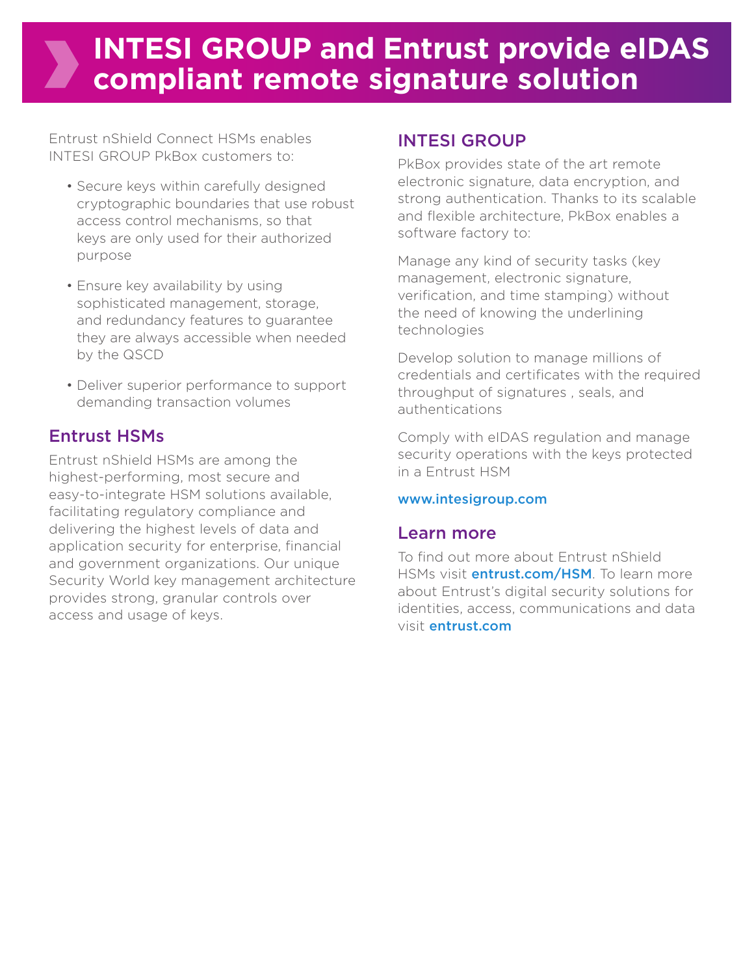# **INTESI GROUP and Entrust provide eIDAS compliant remote signature solution**

Entrust nShield Connect HSMs enables INTESI GROUP PkBox customers to:

- Secure keys within carefully designed cryptographic boundaries that use robust access control mechanisms, so that keys are only used for their authorized purpose
- Ensure key availability by using sophisticated management, storage, and redundancy features to guarantee they are always accessible when needed by the QSCD
- Deliver superior performance to support demanding transaction volumes

### Entrust HSMs

Entrust nShield HSMs are among the highest-performing, most secure and easy-to-integrate HSM solutions available, facilitating regulatory compliance and delivering the highest levels of data and application security for enterprise, financial and government organizations. Our unique Security World key management architecture provides strong, granular controls over access and usage of keys.

### INTESI GROUP

PkBox provides state of the art remote electronic signature, data encryption, and strong authentication. Thanks to its scalable and flexible architecture, PkBox enables a software factory to:

Manage any kind of security tasks (key management, electronic signature, verification, and time stamping) without the need of knowing the underlining technologies

Develop solution to manage millions of credentials and certificates with the required throughput of signatures , seals, and authentications

Comply with eIDAS regulation and manage security operations with the keys protected in a Entrust HSM

### www.intesigroup.com

### Learn more

To find out more about Entrust nShield HSMs visit **entrust.com/HSM**. To learn more about Entrust's digital security solutions for identities, access, communications and data visit entrust.com